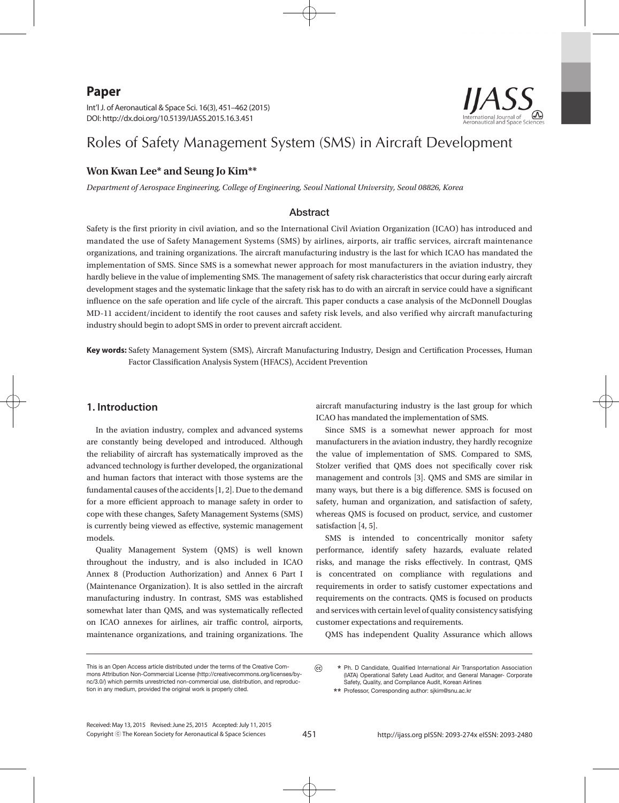# **Paper**

Int'l J. of Aeronautical & Space Sci. 16(3), 451–462 (2015) DOI: http://dx.doi.org/10.5139/IJASS.2015.16.3.451

# Roles of Safety Management System (SMS) in Aircraft Development

# **Won Kwan Lee\* and Seung Jo Kim\*\***

*Department of Aerospace Engineering, College of Engineering, Seoul National University, Seoul 08826, Korea*

# Abstract

Safety is the first priority in civil aviation, and so the International Civil Aviation Organization (ICAO) has introduced and mandated the use of Safety Management Systems (SMS) by airlines, airports, air traffic services, aircraft maintenance organizations, and training organizations. The aircraft manufacturing industry is the last for which ICAO has mandated the implementation of SMS. Since SMS is a somewhat newer approach for most manufacturers in the aviation industry, they hardly believe in the value of implementing SMS. The management of safety risk characteristics that occur during early aircraft development stages and the systematic linkage that the safety risk has to do with an aircraft in service could have a significant influence on the safe operation and life cycle of the aircraft. This paper conducts a case analysis of the McDonnell Douglas MD-11 accident/incident to identify the root causes and safety risk levels, and also verified why aircraft manufacturing industry should begin to adopt SMS in order to prevent aircraft accident.

**Key words:** Safety Management System (SMS), Aircraft Manufacturing Industry, Design and Certification Processes, Human Factor Classification Analysis System (HFACS), Accident Prevention

# **1. Introduction**

In the aviation industry, complex and advanced systems are constantly being developed and introduced. Although the reliability of aircraft has systematically improved as the advanced technology is further developed, the organizational and human factors that interact with those systems are the fundamental causes of the accidents [1, 2]. Due to the demand for a more efficient approach to manage safety in order to cope with these changes, Safety Management Systems (SMS) is currently being viewed as effective, systemic management models.

Quality Management System (QMS) is well known throughout the industry, and is also included in ICAO Annex 8 (Production Authorization) and Annex 6 Part I (Maintenance Organization). It is also settled in the aircraft manufacturing industry. In contrast, SMS was established somewhat later than QMS, and was systematically reflected on ICAO annexes for airlines, air traffic control, airports, maintenance organizations, and training organizations. The

aircraft manufacturing industry is the last group for which ICAO has mandated the implementation of SMS.

Since SMS is a somewhat newer approach for most manufacturers in the aviation industry, they hardly recognize the value of implementation of SMS. Compared to SMS, Stolzer verified that QMS does not specifically cover risk management and controls [3]. QMS and SMS are similar in many ways, but there is a big difference. SMS is focused on safety, human and organization, and satisfaction of safety, whereas QMS is focused on product, service, and customer satisfaction [4, 5].

SMS is intended to concentrically monitor safety performance, identify safety hazards, evaluate related risks, and manage the risks effectively. In contrast, QMS is concentrated on compliance with regulations and requirements in order to satisfy customer expectations and requirements on the contracts. QMS is focused on products and services with certain level of quality consistency satisfying customer expectations and requirements.

QMS has independent Quality Assurance which allows

This is an Open Access article distributed under the terms of the Creative Commons Attribution Non-Commercial License (http://creativecommons.org/licenses/bync/3.0/) which permits unrestricted non-commercial use, distribution, and reproduction in any medium, provided the original work is properly cited.

 $\odot$  **\*** Ph. D Candidate, Qualified International Air Transportation Association (IATA) Operational Safety Lead Auditor, and General Manager- Corporate Safety, Quality, and Compliance Audit, Korean Airlines

 **\*\*** Professor, Corresponding author: sjkim@snu.ac.kr

Copyright ⓒ The Korean Society for Aeronautical & Space Sciences Received: May 13, 2015 Revised: June 25, 2015 Accepted: July 11, 2015

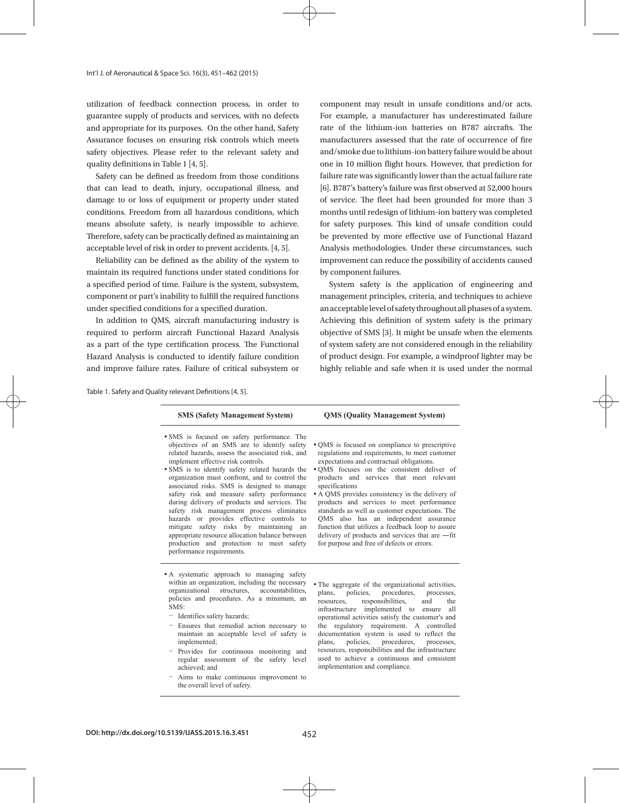utilization of feedback connection process, in order to guarantee supply of products and services, with no defects and appropriate for its purposes. On the other hand, Safety Assurance focuses on ensuring risk controls which meets safety objectives. Please refer to the relevant safety and quality definitions in Table 1 [4, 5].

Safety can be defined as freedom from those conditions that can lead to death, injury, occupational illness, and damage to or loss of equipment or property under stated conditions. Freedom from all hazardous conditions, which means absolute safety, is nearly impossible to achieve. Therefore, safety can be practically defined as maintaining an acceptable level of risk in order to prevent accidents. [4, 5].

Reliability can be defined as the ability of the system to maintain its required functions under stated conditions for a specified period of time. Failure is the system, subsystem, component or part's inability to fulfill the required functions under specified conditions for a specified duration.

In addition to QMS, aircraft manufacturing industry is required to perform aircraft Functional Hazard Analysis as a part of the type certification process. The Functional Hazard Analysis is conducted to identify failure condition and improve failure rates. Failure of critical subsystem or

Table 1. Safety and Quality relevant Definitions [4, 5]. Table 1. Safety and Quality relevant Definitions [4, 5].

component may result in unsafe conditions and/or acts. For example, a manufacturer has underestimated failure rate of the lithium-ion batteries on B787 aircrafts. The manufacturers assessed that the rate of occurrence of fire and/smoke due to lithium-ion battery failure would be about one in 10 million flight hours. However, that prediction for failure rate was significantly lower than the actual failure rate [6]. B787's battery's failure was first observed at 52,000 hours of service. The fleet had been grounded for more than 3 months until redesign of lithium-ion battery was completed for safety purposes. This kind of unsafe condition could be prevented by more effective use of Functional Hazard Analysis methodologies. Under these circumstances, such improvement can reduce the possibility of accidents caused by component failures.

System safety is the application of engineering and management principles, criteria, and techniques to achieve an acceptable level of safety throughout all phases of a system. Achieving this definition of system safety is the primary objective of SMS [3]. It might be unsafe when the elements of system safety are not considered enough in the reliability of product design. For example, a windproof lighter may be highly reliable and safe when it is used under the normal

| <b>SMS (Safety Management System)</b>                                                                                                                                                                                                                                                                                                                                                                                                                                                                                                                                                                                                                                                                       | <b>QMS</b> (Quality Management System)                                                                                                                                                                                                                                                                                                                                                                                                                                                                                                                                                                       |
|-------------------------------------------------------------------------------------------------------------------------------------------------------------------------------------------------------------------------------------------------------------------------------------------------------------------------------------------------------------------------------------------------------------------------------------------------------------------------------------------------------------------------------------------------------------------------------------------------------------------------------------------------------------------------------------------------------------|--------------------------------------------------------------------------------------------------------------------------------------------------------------------------------------------------------------------------------------------------------------------------------------------------------------------------------------------------------------------------------------------------------------------------------------------------------------------------------------------------------------------------------------------------------------------------------------------------------------|
| • SMS is focused on safety performance. The<br>objectives of an SMS are to identify safety<br>related hazards, assess the associated risk, and<br>implement effective risk controls.<br>• SMS is to identify safety related hazards the<br>organization must confront, and to control the<br>associated risks. SMS is designed to manage<br>safety risk and measure safety performance<br>during delivery of products and services. The<br>safety risk management process eliminates<br>hazards or provides effective controls to<br>mitigate safety risks by maintaining<br>an<br>appropriate resource allocation balance between<br>production and protection to meet safety<br>performance requirements. | • QMS is focused on compliance to prescriptive<br>regulations and requirements, to meet customer<br>expectations and contractual obligations.<br>• OMS focuses on the consistent deliver of<br>products and services that meet relevant<br>specifications<br>• A OMS provides consistency in the delivery of<br>products and services to meet performance<br>standards as well as customer expectations. The<br>OMS also has an independent assurance<br>function that utilizes a feedback loop to assure<br>delivery of products and services that are -- fit<br>for purpose and free of defects or errors. |
|                                                                                                                                                                                                                                                                                                                                                                                                                                                                                                                                                                                                                                                                                                             |                                                                                                                                                                                                                                                                                                                                                                                                                                                                                                                                                                                                              |

 A systematic approach to managing safety within an organization, including the necessary<br>organizational structures, accountabilities, accountabilities, policies and procedures. As a minimum, an SMS:

- Identifies safety hazards:
- Ensures that remedial action necessary to maintain an acceptable level of safety is implemented;
- Provides for continuous monitoring and regular assessment of the safety level achieved; and
- Aims to make continuous improvement to the overall level of safety.

 The aggregate of the organizational activities, plans, policies, procedures, processes<br>resources, responsibilities, and the responsibilities, and the infrastructure implemented to ensure all operational activities satisfy the customer's and the regulatory requirement. A controlled documentation system is used to reflect the plans, policies, procedures, processes, procedures, resources, responsibilities and the infrastructure used to achieve a continuous and consistent implementation and compliance.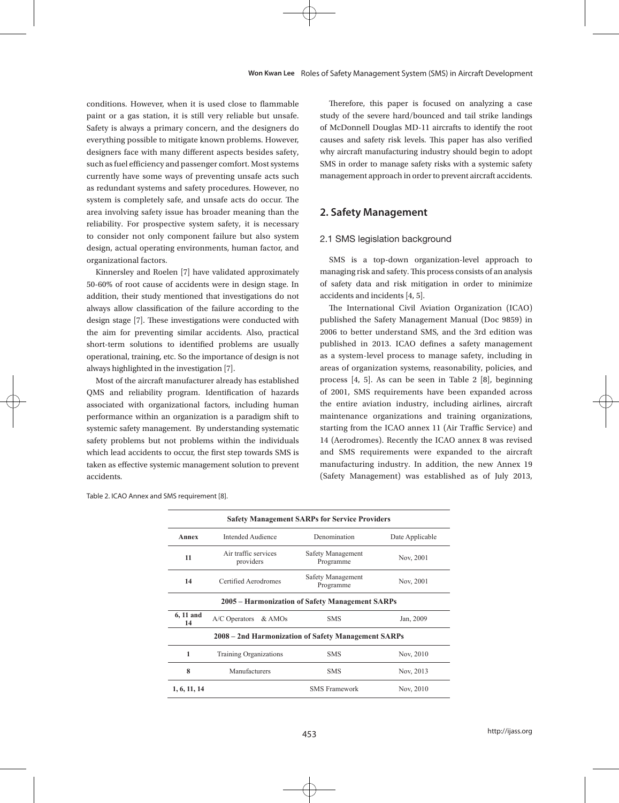conditions. However, when it is used close to flammable paint or a gas station, it is still very reliable but unsafe. Safety is always a primary concern, and the designers do everything possible to mitigate known problems. However, designers face with many different aspects besides safety, such as fuel efficiency and passenger comfort. Most systems currently have some ways of preventing unsafe acts such as redundant systems and safety procedures. However, no system is completely safe, and unsafe acts do occur. The area involving safety issue has broader meaning than the reliability. For prospective system safety, it is necessary to consider not only component failure but also system design, actual operating environments, human factor, and organizational factors.

Kinnersley and Roelen [7] have validated approximately 50-60% of root cause of accidents were in design stage. In addition, their study mentioned that investigations do not always allow classification of the failure according to the design stage [7]. These investigations were conducted with the aim for preventing similar accidents. Also, practical short-term solutions to identified problems are usually operational, training, etc. So the importance of design is not always highlighted in the investigation [7].

Most of the aircraft manufacturer already has established QMS and reliability program. Identification of hazards associated with organizational factors, including human performance within an organization is a paradigm shift to systemic safety management. By understanding systematic safety problems but not problems within the individuals which lead accidents to occur, the first step towards SMS is taken as effective systemic management solution to prevent accidents.

Therefore, this paper is focused on analyzing a case study of the severe hard/bounced and tail strike landings of McDonnell Douglas MD-11 aircrafts to identify the root causes and safety risk levels. This paper has also verified why aircraft manufacturing industry should begin to adopt SMS in order to manage safety risks with a systemic safety management approach in order to prevent aircraft accidents.

# **2. Safety Management**

#### 2.1 SMS legislation background

SMS is a top-down organization-level approach to managing risk and safety. This process consists of an analysis of safety data and risk mitigation in order to minimize accidents and incidents [4, 5].

The International Civil Aviation Organization (ICAO) published the Safety Management Manual (Doc 9859) in 2006 to better understand SMS, and the 3rd edition was published in 2013. ICAO defines a safety management as a system-level process to manage safety, including in areas of organization systems, reasonability, policies, and process [4, 5]. As can be seen in Table 2 [8], beginning of 2001, SMS requirements have been expanded across the entire aviation industry, including airlines, aircraft maintenance organizations and training organizations, starting from the ICAO annex 11 (Air Traffic Service) and 14 (Aerodromes). Recently the ICAO annex 8 was revised and SMS requirements were expanded to the aircraft manufacturing industry. In addition, the new Annex 19 (Safety Management) was established as of July 2013,

| Table 2. ICAO Annex and SMS requirement [8]. |  |  |
|----------------------------------------------|--|--|
|----------------------------------------------|--|--|

|                 |                                                     | <b>Safety Management SARPs for Service Providers</b> |                 |
|-----------------|-----------------------------------------------------|------------------------------------------------------|-----------------|
| Annex           | <b>Intended Audience</b>                            | Denomination                                         | Date Applicable |
| 11              | Air traffic services<br>providers                   | Safety Management<br>Programme                       | Nov, 2001       |
| 14              | Certified Aerodromes                                | Safety Management<br>Programme                       | Nov, 2001       |
|                 |                                                     | 2005 – Harmonization of Safety Management SARPs      |                 |
| 6, 11 and<br>14 | A/C Operators & AMOs                                | <b>SMS</b>                                           | Jan, 2009       |
|                 | 2008 – 2nd Harmonization of Safety Management SARPs |                                                      |                 |
| 1               | Training Organizations                              | <b>SMS</b>                                           | Nov, 2010       |
| 8               | Manufacturers                                       | <b>SMS</b>                                           | Nov, 2013       |
| 1, 6, 11, 14    |                                                     | <b>SMS</b> Framework                                 | Nov, 2010       |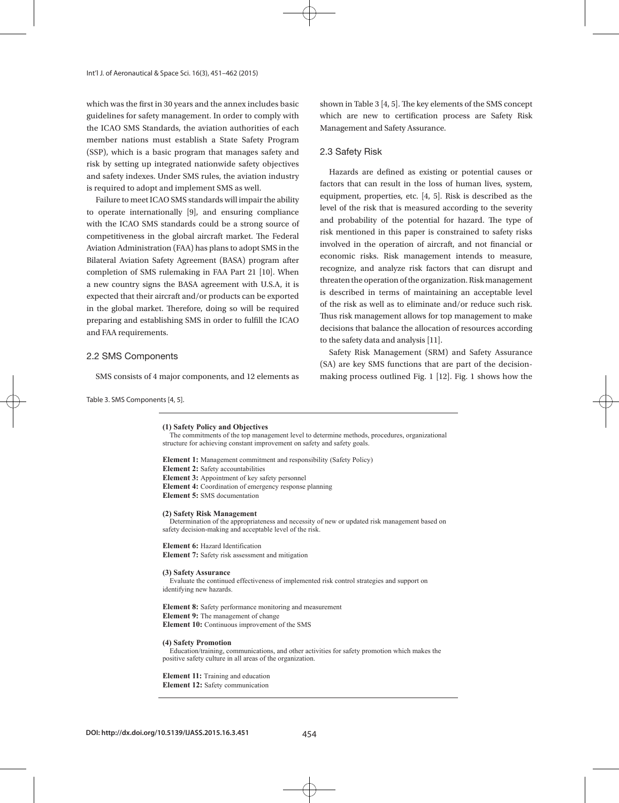which was the first in 30 years and the annex includes basic guidelines for safety management. In order to comply with the ICAO SMS Standards, the aviation authorities of each member nations must establish a State Safety Program (SSP), which is a basic program that manages safety and risk by setting up integrated nationwide safety objectives and safety indexes. Under SMS rules, the aviation industry is required to adopt and implement SMS as well.

Failure to meet ICAO SMS standards will impair the ability to operate internationally [9], and ensuring compliance with the ICAO SMS standards could be a strong source of competitiveness in the global aircraft market. The Federal Aviation Administration (FAA) has plans to adopt SMS in the Bilateral Aviation Safety Agreement (BASA) program after completion of SMS rulemaking in FAA Part 21 [10]. When a new country signs the BASA agreement with U.S.A, it is expected that their aircraft and/or products can be exported in the global market. Therefore, doing so will be required preparing and establishing SMS in order to fulfill the ICAO and FAA requirements.

#### 2.2 SMS Components

SMS consists of 4 major components, and 12 elements as

shown in Table 3 [4, 5]. The key elements of the SMS concept which are new to certification process are Safety Risk Management and Safety Assurance.

#### 2.3 Safety Risk

Hazards are defined as existing or potential causes or factors that can result in the loss of human lives, system, equipment, properties, etc. [4, 5]. Risk is described as the level of the risk that is measured according to the severity and probability of the potential for hazard. The type of risk mentioned in this paper is constrained to safety risks involved in the operation of aircraft, and not financial or economic risks. Risk management intends to measure, recognize, and analyze risk factors that can disrupt and threaten the operation of the organization. Risk management is described in terms of maintaining an acceptable level of the risk as well as to eliminate and/or reduce such risk. Thus risk management allows for top management to make decisions that balance the allocation of resources according to the safety data and analysis [11].

Safety Risk Management (SRM) and Safety Assurance (SA) are key SMS functions that are part of the decisionmaking process outlined Fig. 1 [12]. Fig. 1 shows how the

Table 3. SMS Components [4, 5].

#### **(1) Safety Policy and Objectives**

The commitments of the top management level to determine methods, procedures, organizational structure for achieving constant improvement on safety and safety goals.

**Element 1:** Management commitment and responsibility (Safety Policy) **Element 2:** Safety accountabilities **Element 3:** Appointment of key safety personnel **Element 4:** Coordination of emergency response planning **Element 5:** SMS documentation

#### **(2) Safety Risk Management**

Determination of the appropriateness and necessity of new or updated risk management based on safety decision-making and acceptable level of the risk.

**Element 6:** Hazard Identification **Element 7:** Safety risk assessment and mitigation

#### **(3) Safety Assurance**

Evaluate the continued effectiveness of implemented risk control strategies and support on identifying new hazards.

**Element 8:** Safety performance monitoring and measurement **Element 9:** The management of change **Element 10:** Continuous improvement of the SMS

#### **(4) Safety Promotion**

Education/training, communications, and other activities for safety promotion which makes the positive safety culture in all areas of the organization.

#### **Element 11:** Training and education **Element 12:** Safety communication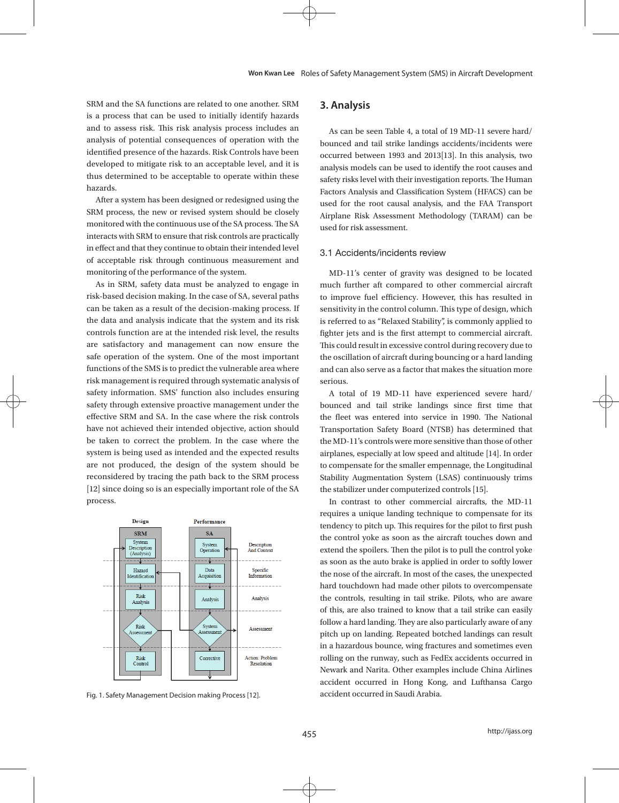SRM and the SA functions are related to one another. SRM is a process that can be used to initially identify hazards and to assess risk. This risk analysis process includes an analysis of potential consequences of operation with the identified presence of the hazards. Risk Controls have been developed to mitigate risk to an acceptable level, and it is thus determined to be acceptable to operate within these hazards.

After a system has been designed or redesigned using the SRM process, the new or revised system should be closely monitored with the continuous use of the SA process. The SA interacts with SRM to ensure that risk controls are practically in effect and that they continue to obtain their intended level of acceptable risk through continuous measurement and monitoring of the performance of the system.

As in SRM, safety data must be analyzed to engage in risk-based decision making. In the case of SA, several paths can be taken as a result of the decision-making process. If the data and analysis indicate that the system and its risk controls function are at the intended risk level, the results are satisfactory and management can now ensure the safe operation of the system. One of the most important functions of the SMS is to predict the vulnerable area where risk management is required through systematic analysis of safety information. SMS' function also includes ensuring safety through extensive proactive management under the effective SRM and SA. In the case where the risk controls have not achieved their intended objective, action should be taken to correct the problem. In the case where the system is being used as intended and the expected results are not produced, the design of the system should be reconsidered by tracing the path back to the SRM process [12] since doing so is an especially important role of the SA process.



Fig. 1. Safety Management Decision making Process [12].

# **3. Analysis**

As can be seen Table 4, a total of 19 MD-11 severe hard/ bounced and tail strike landings accidents/incidents were occurred between 1993 and 2013[13]. In this analysis, two analysis models can be used to identify the root causes and safety risks level with their investigation reports. The Human Factors Analysis and Classification System (HFACS) can be used for the root causal analysis, and the FAA Transport Airplane Risk Assessment Methodology (TARAM) can be used for risk assessment.

### 3.1 Accidents/incidents review

MD-11's center of gravity was designed to be located much further aft compared to other commercial aircraft to improve fuel efficiency. However, this has resulted in sensitivity in the control column. This type of design, which is referred to as "Relaxed Stability", is commonly applied to fighter jets and is the first attempt to commercial aircraft. This could result in excessive control during recovery due to the oscillation of aircraft during bouncing or a hard landing and can also serve as a factor that makes the situation more serious.

A total of 19 MD-11 have experienced severe hard/ bounced and tail strike landings since first time that the fleet was entered into service in 1990. The National Transportation Safety Board (NTSB) has determined that the MD-11's controls were more sensitive than those of other airplanes, especially at low speed and altitude [14]. In order to compensate for the smaller empennage, the Longitudinal Stability Augmentation System (LSAS) continuously trims the stabilizer under computerized controls [15].

In contrast to other commercial aircrafts, the MD-11 requires a unique landing technique to compensate for its tendency to pitch up. This requires for the pilot to first push the control yoke as soon as the aircraft touches down and extend the spoilers. Then the pilot is to pull the control yoke as soon as the auto brake is applied in order to softly lower the nose of the aircraft. In most of the cases, the unexpected hard touchdown had made other pilots to overcompensate the controls, resulting in tail strike. Pilots, who are aware of this, are also trained to know that a tail strike can easily follow a hard landing. They are also particularly aware of any pitch up on landing. Repeated botched landings can result in a hazardous bounce, wing fractures and sometimes even rolling on the runway, such as FedEx accidents occurred in Newark and Narita. Other examples include China Airlines accident occurred in Hong Kong, and Lufthansa Cargo accident occurred in Saudi Arabia.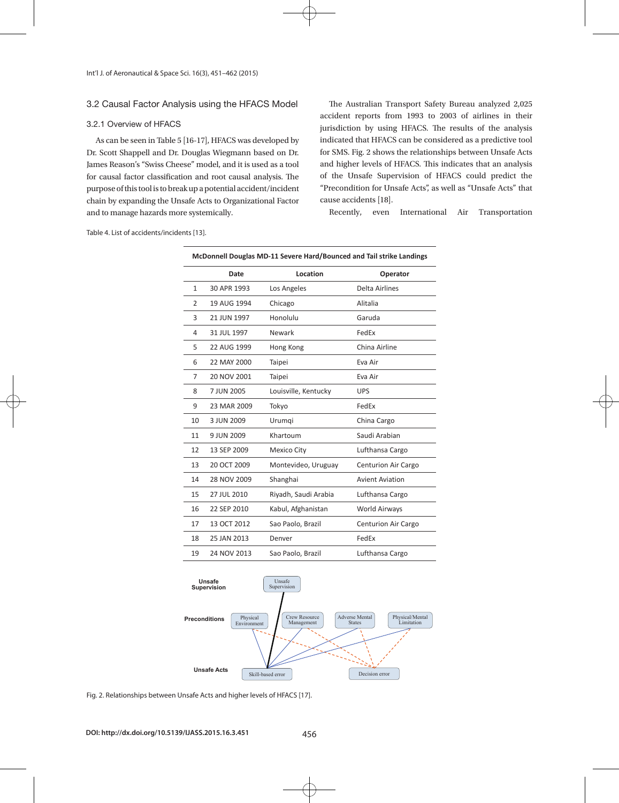### 3.2 Causal Factor Analysis using the HFACS Model

### 3.2.1 Overview of HFACS

As can be seen in Table 5 [16-17], HFACS was developed by Dr. Scott Shappell and Dr. Douglas Wiegmann based on Dr. James Reason's "Swiss Cheese" model, and it is used as a tool for causal factor classification and root causal analysis. The purpose of this tool is to break up a potential accident/incident chain by expanding the Unsafe Acts to Organizational Factor and to manage hazards more systemically.

The Australian Transport Safety Bureau analyzed 2,025 accident reports from 1993 to 2003 of airlines in their jurisdiction by using HFACS. The results of the analysis indicated that HFACS can be considered as a predictive tool for SMS. Fig. 2 shows the relationships between Unsafe Acts and higher levels of HFACS. This indicates that an analysis of the Unsafe Supervision of HFACS could predict the "Precondition for Unsafe Acts", as well as "Unsafe Acts" that cause accidents [18].

Recently, even International Air Transportation

| McDonnell Douglas MD-11 Severe Hard/Bounced and Tail strike Landings |             |                      |                            |
|----------------------------------------------------------------------|-------------|----------------------|----------------------------|
|                                                                      | Date        | Location             | Operator                   |
| 1                                                                    | 30 APR 1993 | Los Angeles          | Delta Airlines             |
| 2                                                                    | 19 AUG 1994 | Chicago              | Alitalia                   |
| 3                                                                    | 21 JUN 1997 | Honolulu             | Garuda                     |
| 4                                                                    | 31 JUL 1997 | Newark               | FedEx                      |
| 5                                                                    | 22 AUG 1999 | Hong Kong            | China Airline              |
| 6                                                                    | 22 MAY 2000 | Taipei               | Eva Air                    |
| 7                                                                    | 20 NOV 2001 | Taipei               | Eva Air                    |
| 8                                                                    | 7 JUN 2005  | Louisville, Kentucky | <b>UPS</b>                 |
| 9                                                                    | 23 MAR 2009 | Tokyo                | FedEx                      |
| 10                                                                   | 3 JUN 2009  | Urumqi               | China Cargo                |
| 11                                                                   | 9 JUN 2009  | Khartoum             | Saudi Arabian              |
| 12                                                                   | 13 SEP 2009 | <b>Mexico City</b>   | Lufthansa Cargo            |
| 13                                                                   | 20 OCT 2009 | Montevideo, Uruguay  | Centurion Air Cargo        |
| 14                                                                   | 28 NOV 2009 | Shanghai             | <b>Avient Aviation</b>     |
| 15                                                                   | 27 JUL 2010 | Riyadh, Saudi Arabia | Lufthansa Cargo            |
| 16                                                                   | 22 SEP 2010 | Kabul, Afghanistan   | World Airways              |
| 17                                                                   | 13 OCT 2012 | Sao Paolo, Brazil    | <b>Centurion Air Cargo</b> |
| 18                                                                   | 25 JAN 2013 | Denver               | FedEx                      |
| 19                                                                   | 24 NOV 2013 | Sao Paolo, Brazil    | Lufthansa Cargo            |

Table 4. List of accidents/incidents [13].



Fig. 2. Relationships between Unsafe Acts and higher levels of HFACS [17].

 **Decision Errrors**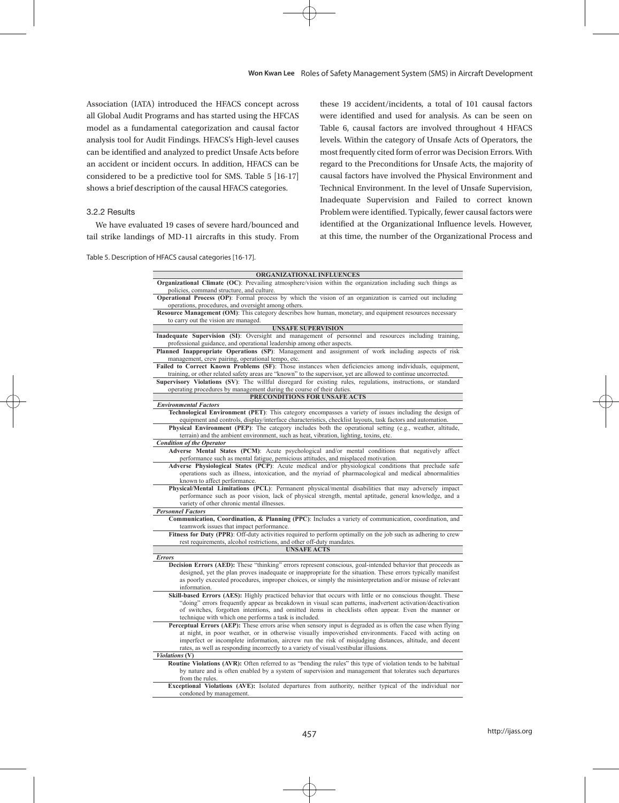Association (IATA) introduced the HFACS concept across all Global Audit Programs and has started using the HFCAS model as a fundamental categorization and causal factor analysis tool for Audit Findings. HFACS's High-level causes can be identified and analyzed to predict Unsafe Acts before an accident or incident occurs. In addition, HFACS can be considered to be a predictive tool for SMS. Table 5 [16-17] shows a brief description of the causal HFACS categories.

### 3.2.2 Results

We have evaluated 19 cases of severe hard/bounced and tail strike landings of MD-11 aircrafts in this study. From

Table 5. Description of HFACS causal categories [16-17].

these 19 accident/incidents, a total of 101 causal factors were identified and used for analysis. As can be seen on Table 6, causal factors are involved throughout 4 HFACS levels. Within the category of Unsafe Acts of Operators, the most frequently cited form of error was Decision Errors. With regard to the Preconditions for Unsafe Acts, the majority of causal factors have involved the Physical Environment and Technical Environment. In the level of Unsafe Supervision, Inadequate Supervision and Failed to correct known Problem were identified. Typically, fewer causal factors were identified at the Organizational Influence levels. However, at this time, the number of the Organizational Process and

| ORGANIZATIONAL INFLUENCES                                                                                                                                                                                                                                                                                                                                 |
|-----------------------------------------------------------------------------------------------------------------------------------------------------------------------------------------------------------------------------------------------------------------------------------------------------------------------------------------------------------|
| <b>Organizational Climate (OC):</b> Prevailing atmosphere/vision within the organization including such things as<br>policies, command structure, and culture.                                                                                                                                                                                            |
| <b>Operational Process (OP)</b> : Formal process by which the vision of an organization is carried out including<br>operations, procedures, and oversight among others.                                                                                                                                                                                   |
| Resource Management (OM): This category describes how human, monetary, and equipment resources necessary                                                                                                                                                                                                                                                  |
| to carry out the vision are managed.                                                                                                                                                                                                                                                                                                                      |
| <b>UNSAFE SUPERVISION</b><br>Inadequate Supervision (SI): Oversight and management of personnel and resources including training,                                                                                                                                                                                                                         |
| professional guidance, and operational leadership among other aspects.                                                                                                                                                                                                                                                                                    |
| Planned Inappropriate Operations (SP): Management and assignment of work including aspects of risk<br>management, crew pairing, operational tempo, etc.                                                                                                                                                                                                   |
| Failed to Correct Known Problems (SF): Those instances when deficiencies among individuals, equipment,                                                                                                                                                                                                                                                    |
| training, or other related safety areas are "known" to the supervisor, yet are allowed to continue uncorrected.                                                                                                                                                                                                                                           |
| Supervisory Violations (SV): The willful disregard for existing rules, regulations, instructions, or standard                                                                                                                                                                                                                                             |
| operating procedures by management during the course of their duties.                                                                                                                                                                                                                                                                                     |
| PRECONDITIONS FOR UNSAFE ACTS                                                                                                                                                                                                                                                                                                                             |
| <b>Environmental Factors</b>                                                                                                                                                                                                                                                                                                                              |
| <b>Technological Environment (PET)</b> : This category encompasses a variety of issues including the design of                                                                                                                                                                                                                                            |
| equipment and controls, display/interface characteristics, checklist layouts, task factors and automation.                                                                                                                                                                                                                                                |
| Physical Environment (PEP): The category includes both the operational setting (e.g., weather, altitude,                                                                                                                                                                                                                                                  |
| terrain) and the ambient environment, such as heat, vibration, lighting, toxins, etc.                                                                                                                                                                                                                                                                     |
| <b>Condition of the Operator</b>                                                                                                                                                                                                                                                                                                                          |
| Adverse Mental States (PCM): Acute psychological and/or mental conditions that negatively affect                                                                                                                                                                                                                                                          |
| performance such as mental fatigue, pernicious attitudes, and misplaced motivation.                                                                                                                                                                                                                                                                       |
| Adverse Physiological States (PCP): Acute medical and/or physiological conditions that preclude safe                                                                                                                                                                                                                                                      |
| operations such as illness, intoxication, and the myriad of pharmacological and medical abnormalities<br>known to affect performance.                                                                                                                                                                                                                     |
| Physical/Mental Limitations (PCL): Permanent physical/mental disabilities that may adversely impact                                                                                                                                                                                                                                                       |
| performance such as poor vision, lack of physical strength, mental aptitude, general knowledge, and a                                                                                                                                                                                                                                                     |
| variety of other chronic mental illnesses.                                                                                                                                                                                                                                                                                                                |
| <b>Personnel Factors</b>                                                                                                                                                                                                                                                                                                                                  |
| <b>Communication, Coordination, &amp; Planning (PPC)</b> : Includes a variety of communication, coordination, and<br>teamwork issues that impact performance.                                                                                                                                                                                             |
| Fitness for Duty (PPR): Off-duty activities required to perform optimally on the job such as adhering to crew                                                                                                                                                                                                                                             |
| rest requirements, alcohol restrictions, and other off-duty mandates.                                                                                                                                                                                                                                                                                     |
| <b>UNSAFE ACTS</b>                                                                                                                                                                                                                                                                                                                                        |
| Errors                                                                                                                                                                                                                                                                                                                                                    |
| Decision Errors (AED): These "thinking" errors represent conscious, goal-intended behavior that proceeds as<br>designed, yet the plan proves inadequate or inappropriate for the situation. These errors typically manifest<br>as poorly executed procedures, improper choices, or simply the misinterpretation and/or misuse of relevant<br>information. |
| Skill-based Errors (AES): Highly practiced behavior that occurs with little or no conscious thought. These                                                                                                                                                                                                                                                |
| "doing" errors frequently appear as breakdown in visual scan patterns, inadvertent activation/deactivation                                                                                                                                                                                                                                                |
| of switches, forgotten intentions, and omitted items in checklists often appear. Even the manner or<br>technique with which one performs a task is included.                                                                                                                                                                                              |
| <b>Perceptual Errors (AEP):</b> These errors arise when sensory input is degraded as is often the case when flying                                                                                                                                                                                                                                        |
| at night, in poor weather, or in otherwise visually impoverished environments. Faced with acting on<br>imperfect or incomplete information, aircrew run the risk of misjudging distances, altitude, and decent                                                                                                                                            |
| rates, as well as responding incorrectly to a variety of visual/vestibular illusions.                                                                                                                                                                                                                                                                     |
| Violations (V)                                                                                                                                                                                                                                                                                                                                            |
| Routine Violations (AVR): Often referred to as "bending the rules" this type of violation tends to be habitual<br>by nature and is often enabled by a system of supervision and management that tolerates such departures<br>from the rules.                                                                                                              |
| Exceptional Violations (AVE): Isolated departures from authority, neither typical of the individual nor                                                                                                                                                                                                                                                   |
| condoned by management.                                                                                                                                                                                                                                                                                                                                   |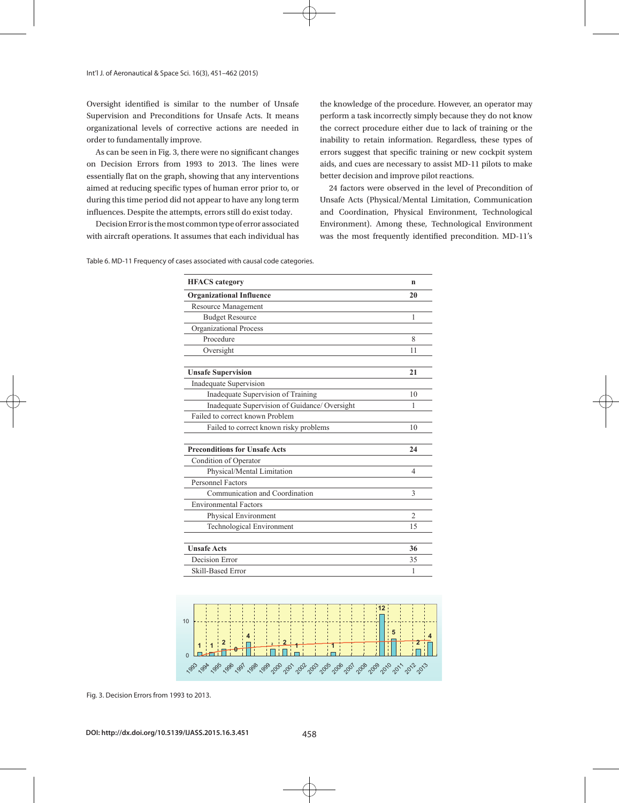Oversight identified is similar to the number of Unsafe Supervision and Preconditions for Unsafe Acts. It means organizational levels of corrective actions are needed in order to fundamentally improve.

As can be seen in Fig. 3, there were no significant changes on Decision Errors from 1993 to 2013. The lines were essentially flat on the graph, showing that any interventions aimed at reducing specific types of human error prior to, or during this time period did not appear to have any long term influences. Despite the attempts, errors still do exist today.

Decision Error is the most common type of error associated with aircraft operations. It assumes that each individual has the knowledge of the procedure. However, an operator may perform a task incorrectly simply because they do not know the correct procedure either due to lack of training or the inability to retain information. Regardless, these types of errors suggest that specific training or new cockpit system aids, and cues are necessary to assist MD-11 pilots to make better decision and improve pilot reactions.

24 factors were observed in the level of Precondition of Unsafe Acts (Physical/Mental Limitation, Communication and Coordination, Physical Environment, Technological Environment). Among these, Technological Environment was the most frequently identified precondition. MD-11's

Table 6. MD-11 Frequency of cases associated with causal code categories. Table 6. MD-11 Frequency of cases associated with causal code categories.

| <b>HFACS</b> category                         | n              |
|-----------------------------------------------|----------------|
| <b>Organizational Influence</b>               | 20             |
| Resource Management                           |                |
| <b>Budget Resource</b>                        | 1              |
| Organizational Process                        |                |
| Procedure                                     | 8              |
| Oversight                                     | 11             |
| <b>Unsafe Supervision</b>                     | 21             |
| Inadequate Supervision                        |                |
| Inadequate Supervision of Training            | 10             |
| Inadequate Supervision of Guidance/ Oversight | 1              |
| Failed to correct known Problem               |                |
| Failed to correct known risky problems        | 10             |
| <b>Preconditions for Unsafe Acts</b>          | 24             |
| Condition of Operator                         |                |
| Physical/Mental Limitation                    | 4              |
| <b>Personnel Factors</b>                      |                |
| Communication and Coordination                | 3              |
| <b>Environmental Factors</b>                  |                |
| Physical Environment                          | $\overline{2}$ |
| Technological Environment                     | 15             |
| <b>Unsafe Acts</b>                            | 36             |
| Decision Error                                | 35             |
|                                               |                |



Fig. 3. Decision Errors from 1993 to 2013.

**DOI: http://dx.doi.org/10.5139/IJASS.2015.16.3.451** 458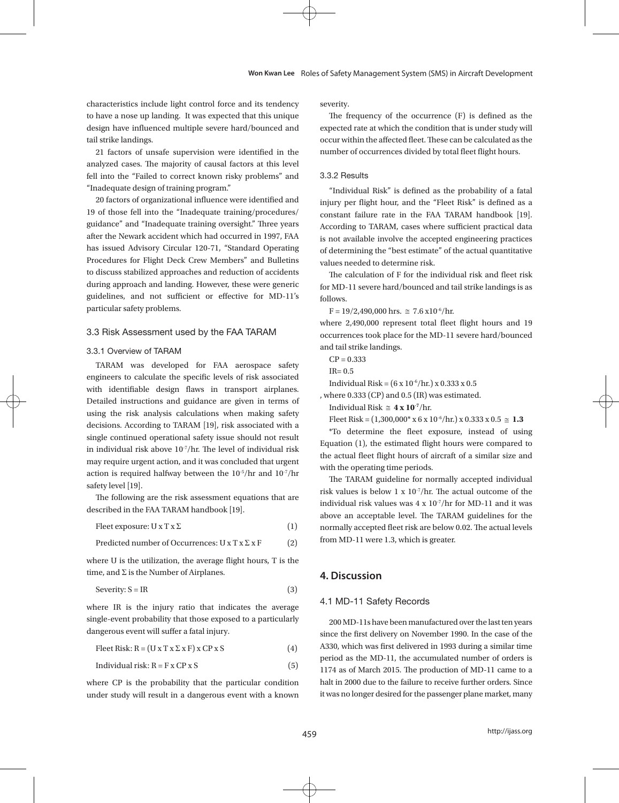characteristics include light control force and its tendency to have a nose up landing. It was expected that this unique design have influenced multiple severe hard/bounced and tail strike landings.

21 factors of unsafe supervision were identified in the analyzed cases. The majority of causal factors at this level fell into the "Failed to correct known risky problems" and "Inadequate design of training program."

20 factors of organizational influence were identified and 19 of those fell into the "Inadequate training/procedures/ guidance" and "Inadequate training oversight." Three years after the Newark accident which had occurred in 1997, FAA has issued Advisory Circular 120-71, "Standard Operating Procedures for Flight Deck Crew Members" and Bulletins to discuss stabilized approaches and reduction of accidents during approach and landing. However, these were generic guidelines, and not sufficient or effective for MD-11's particular safety problems.

### 3.3 Risk Assessment used by the FAA TARAM

#### 3.3.1 Overview of TARAM

TARAM was developed for FAA aerospace safety engineers to calculate the specific levels of risk associated with identifiable design flaws in transport airplanes. Detailed instructions and guidance are given in terms of using the risk analysis calculations when making safety decisions. According to TARAM [19], risk associated with a single continued operational safety issue should not result in individual risk above 10-7/hr. The level of individual risk may require urgent action, and it was concluded that urgent action is required halfway between the 10-5/hr and 10-7/hr safety level [19].

The following are the risk assessment equations that are described in the FAA TARAM handbook [19].

Fleet exposure:  $U \times T \times \Sigma$  (1)

Predicted number of Occurrences: 
$$
U \times T \times \Sigma \times F
$$
 (2)

where U is the utilization, the average flight hours, T is the time, and  $\Sigma$  is the Number of Airplanes.

$$
S\text{everity: } S = IR \tag{3}
$$

where IR is the injury ratio that indicates the average single-event probability that those exposed to a particularly dangerous event will suffer a fatal injury.

Fleet Risk:  $R = (U \times T \times \Sigma \times F) \times CP \times S$  (4)

$$
Individual risk: R = F x CP x S
$$
\n
$$
(5)
$$

where CP is the probability that the particular condition under study will result in a dangerous event with a known severity.  $T$  is defined as the occurrence ( $\Gamma$ ) is defined as the expected rate at which the condition that is defined as the condition that is defined as the condition that is defined as the condition that is defined as the cond

The frequency of the occurrence (F) is defined as the expected rate at which the condition that is under study will  $\rm\,o}$  ccur within the affected fleet. These can be calculated as the number of occurrences divided by total fleet flight hours.

# 3.3.2 Results 3.3.2 Results

"Individual Risk" is defined as the probability of a fatal injury per flight hour, and the "Fleet Risk" is defined as a constant failure rate in the FAA TARAM handbook [19]. According to TARAM, cases where sufficient practical data is not available involve the accepted engineering practices of determining the "best estimate" of the actual quantitative values needed to determine risk.

The calculation of F for the individual risk and fleet risk for MD-11 severe hard/bounced and tail strike landings is as<br>. follows.  $\lceil \text{follows} \rceil$ 

 $F = 19/2,490,000$  hrs.  $\approx 7.6 \times 10^{-6}$ /hr.  $\cdot 10^{-6}/hr$ 

occurrences took place for the MD-11 severe hard/bounced and tail strike landings. where  $2{,}490{,}000$  represent total fleet flight hours and  $19$ 

 $CP = 0.333$ 

 $IR = 0.5$  $IR = 0.5$ 

Individual Risk =  $(6 \times 10^{-6}/\text{hr.}) \times 0.333 \times 0.5$ 

, where  $0.333$  (CP) and  $0.5$  (IR) was estimated.

Individual Risk  $\approx$  4 x 10<sup>-7</sup>/hr.

Fleet Risk =  $(1,300,000^* \times 6 \times 10^{-6}/\text{hr.}) \times 0.333 \times 0.5 \approx 1.3$ 

 $*$ To determine the fleet exposure, instead of using Equation (1), the estimated flight hours were compared to with the operating time periods. the actual fleet flight hours of aircraft of a similar size and

The TARAM guideline for normally accepted individual individual risk values was 4 x  $10^{-7}$ /hr for MD-11 and it was where an acceptable level. The Tribular from MD-11 were 1.3, which is greater. risk values is below  $1 \times 10^{-7}/\text{hr}$ . The actual outcome of the above an acceptable level. The TARAM guidelines for the normally accepted fleet risk are below 0.02. The actual levels

#### The TARAM guidelines for the normally accepted fleet risk are below 0.02. The actual levels from **4. Discussion**  \*To determine the fleet exposure, instead of using Equation (1), the estimated flight hours were

# 4.1 MD-11 Safety Records<br>
and with the operations of all the operations of all the operations of all the operations of and with the operations of all the operations of and with the operations of all the operations of all t

since the first delivery on November 1990. In the case of the period as the MD-11, the accumulated number of orders is 1174 as of March 2015. The production of MD-11 came to a it was no longer desired for the passenger plane market, many A330, which was first delivered in 1993 during a similar time halt in 2000 due to the failure to receive further orders. Since 200 MD-11s have been manufactured over the last ten years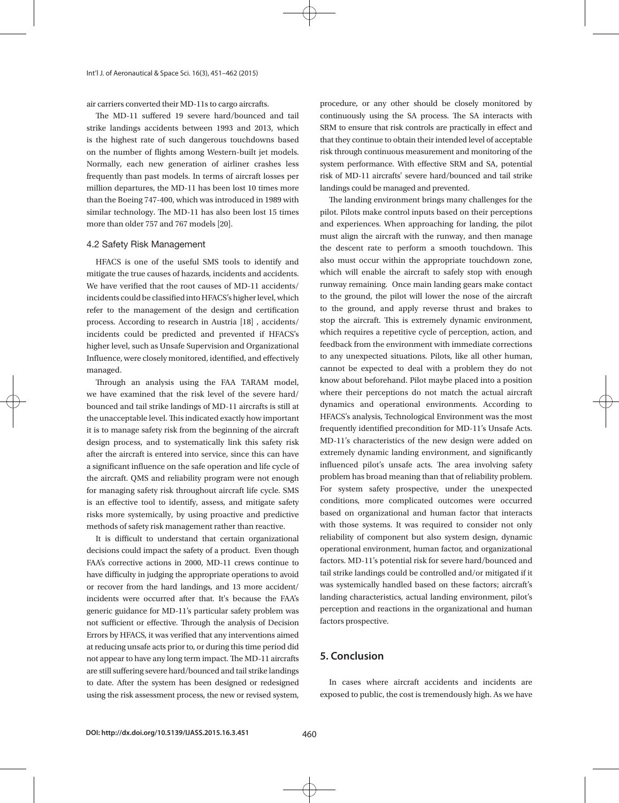air carriers converted their MD-11s to cargo aircrafts.

The MD-11 suffered 19 severe hard/bounced and tail strike landings accidents between 1993 and 2013, which is the highest rate of such dangerous touchdowns based on the number of flights among Western-built jet models. Normally, each new generation of airliner crashes less frequently than past models. In terms of aircraft losses per million departures, the MD-11 has been lost 10 times more than the Boeing 747-400, which was introduced in 1989 with similar technology. The MD-11 has also been lost 15 times more than older 757 and 767 models [20].

#### 4.2 Safety Risk Management

HFACS is one of the useful SMS tools to identify and mitigate the true causes of hazards, incidents and accidents. We have verified that the root causes of MD-11 accidents/ incidents could be classified into HFACS's higher level, which refer to the management of the design and certification process. According to research in Austria [18] , accidents/ incidents could be predicted and prevented if HFACS's higher level, such as Unsafe Supervision and Organizational Influence, were closely monitored, identified, and effectively managed.

Through an analysis using the FAA TARAM model, we have examined that the risk level of the severe hard/ bounced and tail strike landings of MD-11 aircrafts is still at the unacceptable level. This indicated exactly how important it is to manage safety risk from the beginning of the aircraft design process, and to systematically link this safety risk after the aircraft is entered into service, since this can have a significant influence on the safe operation and life cycle of the aircraft. QMS and reliability program were not enough for managing safety risk throughout aircraft life cycle. SMS is an effective tool to identify, assess, and mitigate safety risks more systemically, by using proactive and predictive methods of safety risk management rather than reactive.

It is difficult to understand that certain organizational decisions could impact the safety of a product. Even though FAA's corrective actions in 2000, MD-11 crews continue to have difficulty in judging the appropriate operations to avoid or recover from the hard landings, and 13 more accident/ incidents were occurred after that. It's because the FAA's generic guidance for MD-11's particular safety problem was not sufficient or effective. Through the analysis of Decision Errors by HFACS, it was verified that any interventions aimed at reducing unsafe acts prior to, or during this time period did not appear to have any long term impact. The MD-11 aircrafts are still suffering severe hard/bounced and tail strike landings to date. After the system has been designed or redesigned using the risk assessment process, the new or revised system, procedure, or any other should be closely monitored by continuously using the SA process. The SA interacts with SRM to ensure that risk controls are practically in effect and that they continue to obtain their intended level of acceptable risk through continuous measurement and monitoring of the system performance. With effective SRM and SA, potential risk of MD-11 aircrafts' severe hard/bounced and tail strike landings could be managed and prevented.

The landing environment brings many challenges for the pilot. Pilots make control inputs based on their perceptions and experiences. When approaching for landing, the pilot must align the aircraft with the runway, and then manage the descent rate to perform a smooth touchdown. This also must occur within the appropriate touchdown zone, which will enable the aircraft to safely stop with enough runway remaining. Once main landing gears make contact to the ground, the pilot will lower the nose of the aircraft to the ground, and apply reverse thrust and brakes to stop the aircraft. This is extremely dynamic environment, which requires a repetitive cycle of perception, action, and feedback from the environment with immediate corrections to any unexpected situations. Pilots, like all other human, cannot be expected to deal with a problem they do not know about beforehand. Pilot maybe placed into a position where their perceptions do not match the actual aircraft dynamics and operational environments. According to HFACS's analysis, Technological Environment was the most frequently identified precondition for MD-11's Unsafe Acts. MD-11's characteristics of the new design were added on extremely dynamic landing environment, and significantly influenced pilot's unsafe acts. The area involving safety problem has broad meaning than that of reliability problem. For system safety prospective, under the unexpected conditions, more complicated outcomes were occurred based on organizational and human factor that interacts with those systems. It was required to consider not only reliability of component but also system design, dynamic operational environment, human factor, and organizational factors. MD-11's potential risk for severe hard/bounced and tail strike landings could be controlled and/or mitigated if it was systemically handled based on these factors; aircraft's landing characteristics, actual landing environment, pilot's perception and reactions in the organizational and human factors prospective.

### **5. Conclusion**

In cases where aircraft accidents and incidents are exposed to public, the cost is tremendously high. As we have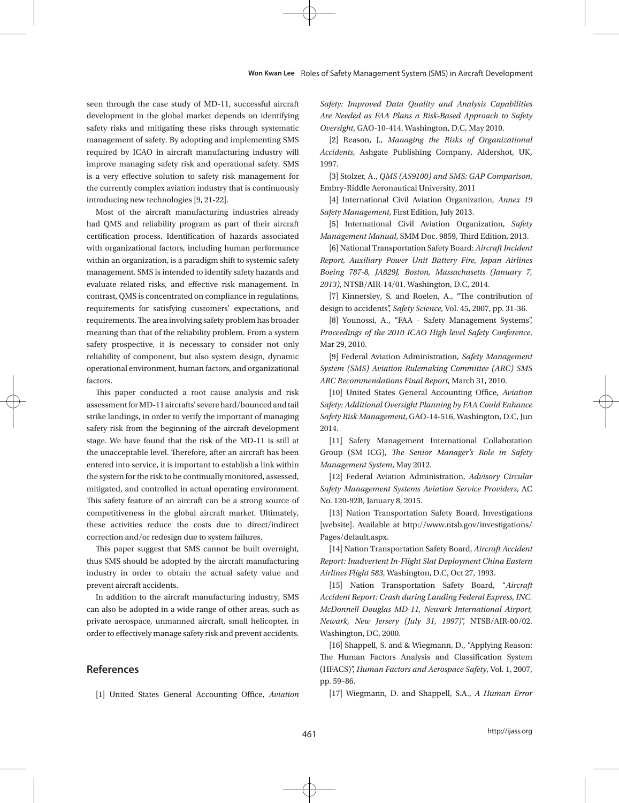#### **Won Kwan Lee** Roles of Safety Management System (SMS) in Aircraft Development

seen through the case study of MD-11, successful aircraft development in the global market depends on identifying safety risks and mitigating these risks through systematic management of safety. By adopting and implementing SMS required by ICAO in aircraft manufacturing industry will improve managing safety risk and operational safety. SMS is a very effective solution to safety risk management for the currently complex aviation industry that is continuously introducing new technologies [9, 21-22].

Most of the aircraft manufacturing industries already had QMS and reliability program as part of their aircraft certification process. Identification of hazards associated with organizational factors, including human performance within an organization, is a paradigm shift to systemic safety management. SMS is intended to identify safety hazards and evaluate related risks, and effective risk management. In contrast, QMS is concentrated on compliance in regulations, requirements for satisfying customers' expectations, and requirements. The area involving safety problem has broader meaning than that of the reliability problem. From a system safety prospective, it is necessary to consider not only reliability of component, but also system design, dynamic operational environment, human factors, and organizational factors.

This paper conducted a root cause analysis and risk assessment for MD-11 aircrafts' severe hard/bounced and tail strike landings, in order to verify the important of managing safety risk from the beginning of the aircraft development stage. We have found that the risk of the MD-11 is still at the unacceptable level. Therefore, after an aircraft has been entered into service, it is important to establish a link within the system for the risk to be continually monitored, assessed, mitigated, and controlled in actual operating environment. This safety feature of an aircraft can be a strong source of competitiveness in the global aircraft market. Ultimately, these activities reduce the costs due to direct/indirect correction and/or redesign due to system failures.

This paper suggest that SMS cannot be built overnight, thus SMS should be adopted by the aircraft manufacturing industry in order to obtain the actual safety value and prevent aircraft accidents.

In addition to the aircraft manufacturing industry, SMS can also be adopted in a wide range of other areas, such as private aerospace, unmanned aircraft, small helicopter, in order to effectively manage safety risk and prevent accidents.

## **References**

[1] United States General Accounting Office, *Aviation* 

*Safety: Improved Data Quality and Analysis Capabilities Are Needed as FAA Plans a Risk-Based Approach to Safety Oversight*, GAO-10-414. Washington, D.C, May 2010.

[2] Reason, J., *Managing the Risks of Organizational Accidents*, Ashgate Publishing Company, Aldershot, UK, 1997.

[3] Stolzer, A., *QMS (AS9100) and SMS: GAP Comparison*, Embry-Riddle Aeronautical University, 2011

[4] International Civil Aviation Organization, *Annex 19 Safety Management*, First Edition, July 2013.

[5] International Civil Aviation Organization, *Safety Management Manual*, SMM Doc. 9859, Third Edition, 2013.

[6] National Transportation Safety Board: *Aircraft Incident Report, Auxiliary Power Unit Battery Fire, Japan Airlines Boeing 787-8, JA829J, Boston, Massachusetts (January 7, 2013)*, NTSB/AIR-14/01. Washington, D.C, 2014.

[7] Kinnersley, S. and Roelen, A., "The contribution of design to accidents", *Safety Science*, Vol. 45, 2007, pp. 31-36.

[8] Younossi, A., "FAA - Safety Management Systems", *Proceedings of the 2010 ICAO High level Safety Conference*, Mar 29, 2010.

[9] Federal Aviation Administration, *Safety Management System (SMS) Aviation Rulemaking Committee (ARC) SMS ARC Recommendations Final Report*, March 31, 2010.

[10] United States General Accounting Office, *Aviation Safety: Additional Oversight Planning by FAA Could Enhance Safety Risk Management*, GAO-14-516, Washington, D.C, Jun 2014.

[11] Safety Management International Collaboration Group (SM ICG), *The Senior Manager's Role in Safety Management System*, May 2012.

[12] Federal Aviation Administration, *Advisory Circular Safety Management Systems Aviation Service Providers*, AC No. 120-92B, January 8, 2015.

[13] Nation Transportation Safety Board, Investigations [website]. Available at http://www.ntsb.gov/investigations/ Pages/default.aspx.

[14] Nation Transportation Safety Board, *Aircraft Accident Report: Inadvertent In-Flight Slat Deployment China Eastern Airlines Flight 583*, Washington, D.C, Oct 27, 1993.

[15] Nation Transportation Safety Board, "*Aircraft Accident Report: Crash during Landing Federal Express, INC. McDonnell Douglas MD-11, Newark International Airport, Newark, New Jersery (July 31, 1997)*", NTSB/AIR-00/02. Washington, DC, 2000.

[16] Shappell, S. and & Wiegmann, D., "Applying Reason: The Human Factors Analysis and Classification System (HFACS)", *Human Factors and Aerospace Safety*, Vol. 1, 2007, pp. 59–86.

[17] Wiegmann, D. and Shappell, S.A., *A Human Error*